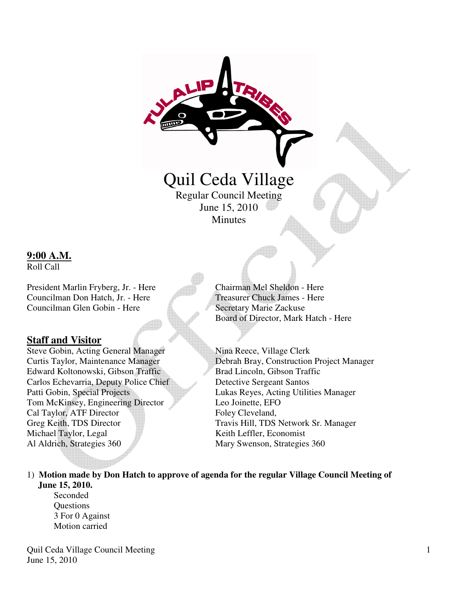# Quil Ceda Village Regular Council Meeting

June 15, 2010 **Minutes** 

#### **9:00 A.M.**

Roll Call

President Marlin Fryberg, Jr. - Here Chairman Mel Sheldon - Here Councilman Don Hatch, Jr. - Here Treasurer Chuck James - Here Councilman Glen Gobin - Here Secretary Marie Zackuse

### **Staff and Visitor**

Steve Gobin, Acting General Manager Nina Reece, Village Clerk Edward Koltonowski, Gibson Traffic Brad Lincoln, Gibson Traffic Carlos Echevarria, Deputy Police Chief Detective Sergeant Santos Patti Gobin, Special Projects Lukas Reyes, Acting Utilities Manager Tom McKinsey, Engineering Director Leo Joinette, EFO Cal Taylor, ATF Director Foley Cleveland, Greg Keith, TDS Director Travis Hill, TDS Network Sr. Manager Michael Taylor, Legal Keith Leffler, Economist Al Aldrich, Strategies 360 Mary Swenson, Strategies 360

Board of Director, Mark Hatch - Here

Curtis Taylor, Maintenance Manager Debrah Bray, Construction Project Manager

1) **Motion made by Don Hatch to approve of agenda for the regular Village Council Meeting of June 15, 2010.** 

Seconded **Questions**  3 For 0 Against Motion carried

Quil Ceda Village Council Meeting June 15, 2010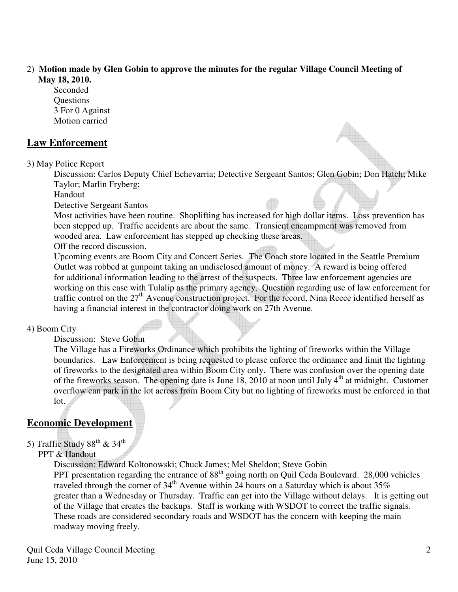#### 2) **Motion made by Glen Gobin to approve the minutes for the regular Village Council Meeting of May 18, 2010.**

 Seconded **Ouestions**  3 For 0 Against Motion carried

#### **Law Enforcement**

3) May Police Report

 Discussion: Carlos Deputy Chief Echevarria; Detective Sergeant Santos; Glen Gobin; Don Hatch; Mike Taylor; Marlin Fryberg;

Handout

Detective Sergeant Santos

 Most activities have been routine. Shoplifting has increased for high dollar items. Loss prevention has been stepped up. Traffic accidents are about the same. Transient encampment was removed from wooded area. Law enforcement has stepped up checking these areas.

Off the record discussion.

 Upcoming events are Boom City and Concert Series. The Coach store located in the Seattle Premium Outlet was robbed at gunpoint taking an undisclosed amount of money. A reward is being offered for additional information leading to the arrest of the suspects. Three law enforcement agencies are working on this case with Tulalip as the primary agency. Question regarding use of law enforcement for traffic control on the 27<sup>th</sup> Avenue construction project. For the record, Nina Reece identified herself as having a financial interest in the contractor doing work on 27th Avenue.

#### 4) Boom City

Discussion: Steve Gobin

 The Village has a Fireworks Ordinance which prohibits the lighting of fireworks within the Village boundaries. Law Enforcement is being requested to please enforce the ordinance and limit the lighting of fireworks to the designated area within Boom City only. There was confusion over the opening date of the fireworks season. The opening date is June  $18$ , 2010 at noon until July  $4<sup>th</sup>$  at midnight. Customer overflow can park in the lot across from Boom City but no lighting of fireworks must be enforced in that lot.

### **Economic Development**

### 5) Traffic Study  $88^{\text{th}}$  &  $34^{\text{th}}$

#### PPT & Handout

 Discussion: Edward Koltonowski; Chuck James; Mel Sheldon; Steve Gobin PPT presentation regarding the entrance of  $88<sup>th</sup>$  going north on Quil Ceda Boulevard. 28,000 vehicles traveled through the corner of  $34<sup>th</sup>$  Avenue within 24 hours on a Saturday which is about 35% greater than a Wednesday or Thursday. Traffic can get into the Village without delays. It is getting out of the Village that creates the backups. Staff is working with WSDOT to correct the traffic signals. These roads are considered secondary roads and WSDOT has the concern with keeping the main roadway moving freely.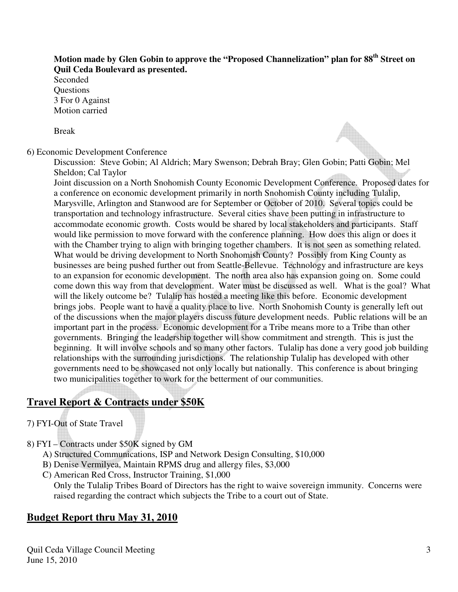### **Motion made by Glen Gobin to approve the "Proposed Channelization" plan for 88th Street on Quil Ceda Boulevard as presented.**

 Seconded **Ouestions**  3 For 0 Against Motion carried

Break

6) Economic Development Conference

Discussion: Steve Gobin; Al Aldrich; Mary Swenson; Debrah Bray; Glen Gobin; Patti Gobin; Mel Sheldon; Cal Taylor

 Joint discussion on a North Snohomish County Economic Development Conference. Proposed dates for a conference on economic development primarily in north Snohomish County including Tulalip, Marysville, Arlington and Stanwood are for September or October of 2010. Several topics could be transportation and technology infrastructure. Several cities shave been putting in infrastructure to accommodate economic growth. Costs would be shared by local stakeholders and participants. Staff would like permission to move forward with the conference planning. How does this align or does it with the Chamber trying to align with bringing together chambers. It is not seen as something related. What would be driving development to North Snohomish County? Possibly from King County as businesses are being pushed further out from Seattle-Bellevue. Technology and infrastructure are keys to an expansion for economic development. The north area also has expansion going on. Some could come down this way from that development. Water must be discussed as well. What is the goal? What will the likely outcome be? Tulalip has hosted a meeting like this before. Economic development brings jobs. People want to have a quality place to live. North Snohomish County is generally left out of the discussions when the major players discuss future development needs. Public relations will be an important part in the process. Economic development for a Tribe means more to a Tribe than other governments. Bringing the leadership together will show commitment and strength. This is just the beginning. It will involve schools and so many other factors. Tulalip has done a very good job building relationships with the surrounding jurisdictions. The relationship Tulalip has developed with other governments need to be showcased not only locally but nationally. This conference is about bringing two municipalities together to work for the betterment of our communities.

# **Travel Report & Contracts under \$50K**

7) FYI-Out of State Travel

- 8) FYI Contracts under \$50K signed by GM
	- A) Structured Communications, ISP and Network Design Consulting, \$10,000
	- B) Denise Vermilyea, Maintain RPMS drug and allergy files, \$3,000
	- C) American Red Cross, Instructor Training, \$1,000 Only the Tulalip Tribes Board of Directors has the right to waive sovereign immunity. Concerns were raised regarding the contract which subjects the Tribe to a court out of State.

## **Budget Report thru May 31, 2010**

Quil Ceda Village Council Meeting June 15, 2010